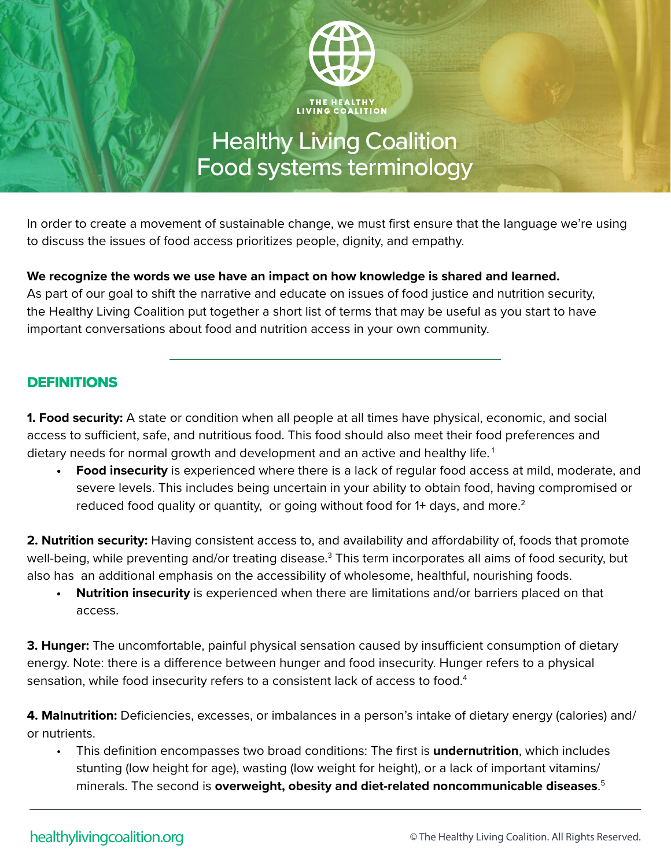

## Healthy Living Coalition Food systems terminology

In order to create a movement of sustainable change, we must first ensure that the language we're using to discuss the issues of food access prioritizes people, dignity, and empathy.

## **We recognize the words we use have an impact on how knowledge is shared and learned.**

As part of our goal to shift the narrative and educate on issues of food justice and nutrition security, the Healthy Living Coalition put together a short list of terms that may be useful as you start to have important conversations about food and nutrition access in your own community.

## DEFINITIONS

**1. Food security:** A state or condition when all people at all times have physical, economic, and social access to sufficient, safe, and nutritious food. This food should also meet their food preferences and dietary needs for normal growth and development and an active and healthy life.<sup>1</sup>

**• Food insecurity** is experienced where there is a lack of regular food access at mild, moderate, and severe levels. This includes being uncertain in your ability to obtain food, having compromised or reduced food quality or quantity, or going without food for 1+ days, and more.<sup>2</sup>

**2. Nutrition security:** Having consistent access to, and availability and affordability of, foods that promote well-being, while preventing and/or treating disease.<sup>3</sup> This term incorporates all aims of food security, but also has an additional emphasis on the accessibility of wholesome, healthful, nourishing foods.

**• Nutrition insecurity** is experienced when there are limitations and/or barriers placed on that access.

**3. Hunger:** The uncomfortable, painful physical sensation caused by insufficient consumption of dietary energy. Note: there is a difference between hunger and food insecurity. Hunger refers to a physical sensation, while food insecurity refers to a consistent lack of access to food.<sup>4</sup>

**4. Malnutrition:** Deficiencies, excesses, or imbalances in a person's intake of dietary energy (calories) and/ or nutrients.

• This definition encompasses two broad conditions: The first is **undernutrition**, which includes stunting (low height for age), wasting (low weight for height), or a lack of important vitamins/ minerals. The second is **overweight, obesity and diet-related noncommunicable diseases**. 5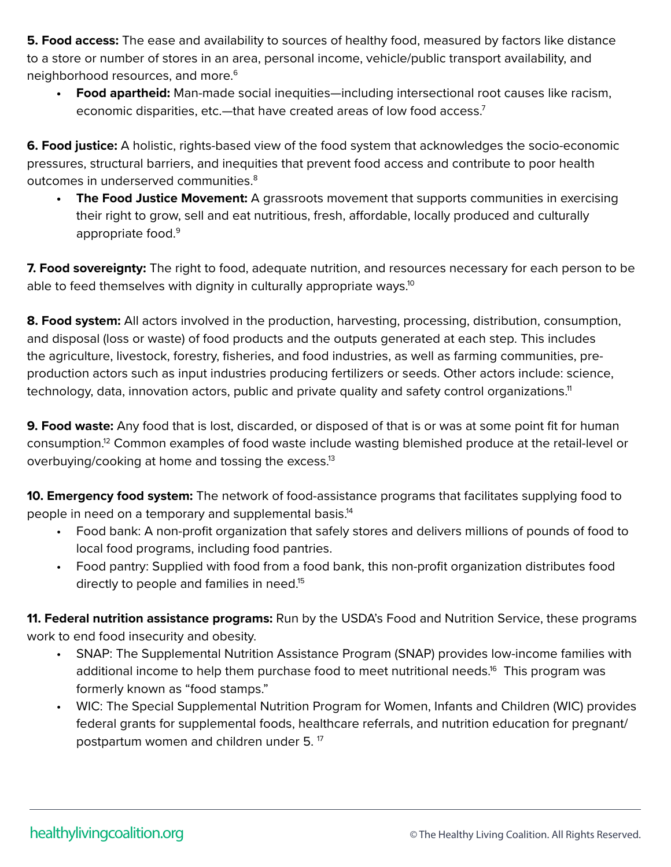**5. Food access:** The ease and availability to sources of healthy food, measured by factors like distance to a store or number of stores in an area, personal income, vehicle/public transport availability, and neighborhood resources, and more.<sup>6</sup>

**• Food apartheid:** Man-made social inequities—including intersectional root causes like racism, economic disparities, etc.—that have created areas of low food access.7

**6. Food justice:** A holistic, rights-based view of the food system that acknowledges the socio-economic pressures, structural barriers, and inequities that prevent food access and contribute to poor health outcomes in underserved communities.<sup>8</sup>

**• The Food Justice Movement:** A grassroots movement that supports communities in exercising their right to grow, sell and eat nutritious, fresh, affordable, locally produced and culturally appropriate food.<sup>9</sup>

**7. Food sovereignty:** The right to food, adequate nutrition, and resources necessary for each person to be able to feed themselves with dignity in culturally appropriate ways.<sup>10</sup>

**8. Food system:** All actors involved in the production, harvesting, processing, distribution, consumption, and disposal (loss or waste) of food products and the outputs generated at each step. This includes the agriculture, livestock, forestry, fisheries, and food industries, as well as farming communities, preproduction actors such as input industries producing fertilizers or seeds. Other actors include: science, technology, data, innovation actors, public and private quality and safety control organizations.<sup>11</sup>

**9. Food waste:** Any food that is lost, discarded, or disposed of that is or was at some point fit for human consumption.12 Common examples of food waste include wasting blemished produce at the retail-level or overbuying/cooking at home and tossing the excess.<sup>13</sup>

**10. Emergency food system:** The network of food-assistance programs that facilitates supplying food to people in need on a temporary and supplemental basis.14

- Food bank: A non-profit organization that safely stores and delivers millions of pounds of food to local food programs, including food pantries.
- Food pantry: Supplied with food from a food bank, this non-profit organization distributes food directly to people and families in need.<sup>15</sup>

**11. Federal nutrition assistance programs:** Run by the USDA's Food and Nutrition Service, these programs work to end food insecurity and obesity.

- SNAP: The Supplemental Nutrition Assistance Program (SNAP) provides low-income families with additional income to help them purchase food to meet nutritional needs.<sup>16</sup> This program was formerly known as "food stamps."
- WIC: The Special Supplemental Nutrition Program for Women, Infants and Children (WIC) provides federal grants for supplemental foods, healthcare referrals, and nutrition education for pregnant/ postpartum women and children under 5. 17